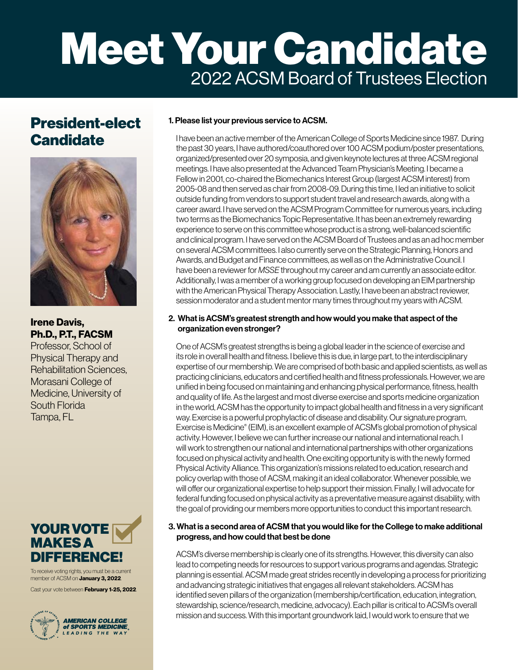# Meet Your Candidate 2022 ACSM Board of Trustees Election

## President-elect **Candidate**



### Irene Davis, Ph.D., P.T., FACSM

Professor, School of Physical Therapy and Rehabilitation Sciences, Morasani College of Medicine, University of South Florida Tampa, FL



To receive voting rights, you must be a current member of ACSM on **January 3, 2022**.

Cast your vote between **February 1-25, 2022**.



#### 1. Please list your previous service to ACSM.

I have been an active member of the American College of Sports Medicine since 1987. During the past 30 years, I have authored/coauthored over 100 ACSM podium/poster presentations, organized/presented over 20 symposia, and given keynote lectures at three ACSM regional meetings. I have also presented at the Advanced Team Physician's Meeting. I became a Fellow in 2001, co-chaired the Biomechanics Interest Group (largest ACSM interest) from 2005-08 and then served as chair from 2008-09. During this time, I led an initiative to solicit outside funding from vendors to support student travel and research awards, along with a career award. I have served on the ACSM Program Committee for numerous years, including two terms as the Biomechanics Topic Representative. It has been an extremely rewarding experience to serve on this committee whose product is a strong, well-balanced scientific and clinical program. I have served on the ACSM Board of Trustees and as an ad hoc member on several ACSM committees. I also currently serve on the Strategic Planning, Honors and Awards, and Budget and Finance committees, as well as on the Administrative Council. I have been a reviewer for *MSSE* throughout my career and am currently an associate editor. Additionally, I was a member of a working group focused on developing an EIM partnership with the American Physical Therapy Association. Lastly, I have been an abstract reviewer, session moderator and a student mentor many times throughout my years with ACSM.

#### 2. What is ACSM's greatest strength and how would you make that aspect of the organization even stronger?

One of ACSM's greatest strengths is being a global leader in the science of exercise and its role in overall health and fitness. I believe this is due, in large part, to the interdisciplinary expertise of our membership. We are comprised of both basic and applied scientists, as well as practicing clinicians, educators and certified health and fitness professionals. However, we are unified in being focused on maintaining and enhancing physical performance, fitness, health and quality of life. As the largest and most diverse exercise and sports medicine organization in the world, ACSM has the opportunity to impact global health and fitness in a very significant way. Exercise is a powerful prophylactic of disease and disability. Our signature program, Exercise is Medicine® (EIM), is an excellent example of ACSM's global promotion of physical activity. However, I believe we can further increase our national and international reach. I will work to strengthen our national and international partnerships with other organizations focused on physical activity and health. One exciting opportunity is with the newly formed Physical Activity Alliance. This organization's missions related to education, research and policy overlap with those of ACSM, making it an ideal collaborator. Whenever possible, we will offer our organizational expertise to help support their mission. Finally, I will advocate for federal funding focused on physical activity as a preventative measure against disability, with the goal of providing our members more opportunities to conduct this important research.

#### 3. What is a second area of ACSM that you would like for the College to make additional progress, and how could that best be done

ACSM's diverse membership is clearly one of its strengths. However, this diversity can also lead to competing needs for resources to support various programs and agendas. Strategic planning is essential. ACSM made great strides recently in developing a process for prioritizing and advancing strategic initiatives that engages all relevant stakeholders. ACSM has identified seven pillars of the organization (membership/certification, education, integration, stewardship, science/research, medicine, advocacy). Each pillar is critical to ACSM's overall mission and success. With this important groundwork laid, I would work to ensure that we